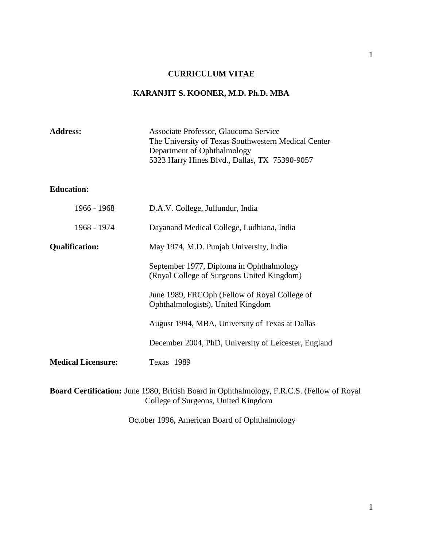## **CURRICULUM VITAE**

# **KARANJIT S. KOONER, M.D. Ph.D. MBA**

| <b>Address:</b>                                                                                                                  | Associate Professor, Glaucoma Service<br>The University of Texas Southwestern Medical Center<br>Department of Ophthalmology<br>5323 Harry Hines Blvd., Dallas, TX 75390-9057 |  |
|----------------------------------------------------------------------------------------------------------------------------------|------------------------------------------------------------------------------------------------------------------------------------------------------------------------------|--|
| <b>Education:</b>                                                                                                                |                                                                                                                                                                              |  |
| 1966 - 1968                                                                                                                      | D.A.V. College, Jullundur, India                                                                                                                                             |  |
| 1968 - 1974                                                                                                                      | Dayanand Medical College, Ludhiana, India                                                                                                                                    |  |
| <b>Qualification:</b>                                                                                                            | May 1974, M.D. Punjab University, India                                                                                                                                      |  |
|                                                                                                                                  | September 1977, Diploma in Ophthalmology<br>(Royal College of Surgeons United Kingdom)                                                                                       |  |
|                                                                                                                                  | June 1989, FRCOph (Fellow of Royal College of<br>Ophthalmologists), United Kingdom                                                                                           |  |
|                                                                                                                                  | August 1994, MBA, University of Texas at Dallas                                                                                                                              |  |
|                                                                                                                                  | December 2004, PhD, University of Leicester, England                                                                                                                         |  |
| <b>Medical Licensure:</b>                                                                                                        | Texas 1989                                                                                                                                                                   |  |
| Board Certification: June 1980, British Board in Ophthalmology, F.R.C.S. (Fellow of Royal<br>College of Surgeons, United Kingdom |                                                                                                                                                                              |  |

October 1996, American Board of Ophthalmology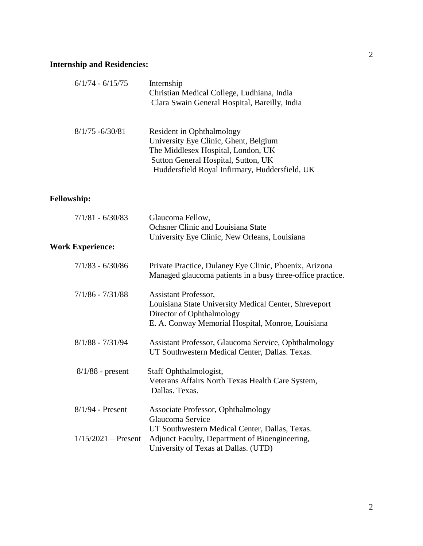## **Internship and Residencies:**

| $6/1/74 - 6/15/75$      | Internship<br>Christian Medical College, Ludhiana, India<br>Clara Swain General Hospital, Bareilly, India                                                                                                |
|-------------------------|----------------------------------------------------------------------------------------------------------------------------------------------------------------------------------------------------------|
| $8/1/75 - 6/30/81$      | <b>Resident in Ophthalmology</b><br>University Eye Clinic, Ghent, Belgium<br>The Middlesex Hospital, London, UK<br>Sutton General Hospital, Sutton, UK<br>Huddersfield Royal Infirmary, Huddersfield, UK |
| <b>Fellowship:</b>      |                                                                                                                                                                                                          |
| $7/1/81 - 6/30/83$      | Glaucoma Fellow,<br>Ochsner Clinic and Louisiana State<br>University Eye Clinic, New Orleans, Louisiana                                                                                                  |
| <b>Work Experience:</b> |                                                                                                                                                                                                          |
| $7/1/83 - 6/30/86$      | Private Practice, Dulaney Eye Clinic, Phoenix, Arizona<br>Managed glaucoma patients in a busy three-office practice.                                                                                     |
| $7/1/86 - 7/31/88$      | Assistant Professor,<br>Louisiana State University Medical Center, Shreveport<br>Director of Ophthalmology<br>E. A. Conway Memorial Hospital, Monroe, Louisiana                                          |
| $8/1/88 - 7/31/94$      | Assistant Professor, Glaucoma Service, Ophthalmology<br>UT Southwestern Medical Center, Dallas. Texas.                                                                                                   |
| $8/1/88$ - present      | Staff Ophthalmologist,<br>Veterans Affairs North Texas Health Care System,<br>Dallas. Texas.                                                                                                             |
| $8/1/94$ - Present      | <b>Associate Professor, Ophthalmology</b><br>Glaucoma Service                                                                                                                                            |
| $1/15/2021$ – Present   | UT Southwestern Medical Center, Dallas, Texas.<br>Adjunct Faculty, Department of Bioengineering,<br>University of Texas at Dallas. (UTD)                                                                 |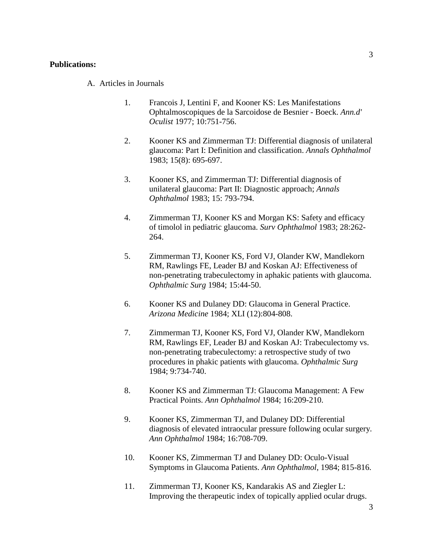#### **Publications:**

A. Articles in Journals

- 1. Francois J, Lentini F, and Kooner KS: Les Manifestations Ophtalmoscopiques de la Sarcoidose de Besnier - Boeck. *Ann.d' Oculist* 1977; 10:751-756.
- 2. Kooner KS and Zimmerman TJ: Differential diagnosis of unilateral glaucoma: Part I: Definition and classification. *Annals Ophthalmol* 1983; 15(8): 695-697.
- 3. Kooner KS, and Zimmerman TJ: Differential diagnosis of unilateral glaucoma: Part II: Diagnostic approach; *Annals Ophthalmol* 1983; 15: 793-794.
- 4. Zimmerman TJ, Kooner KS and Morgan KS: Safety and efficacy of timolol in pediatric glaucoma. *Surv Ophthalmol* 1983; 28:262- 264.
- 5. Zimmerman TJ, Kooner KS, Ford VJ, Olander KW, Mandlekorn RM, Rawlings FE, Leader BJ and Koskan AJ: Effectiveness of non-penetrating trabeculectomy in aphakic patients with glaucoma. *Ophthalmic Surg* 1984; 15:44-50.
- 6. Kooner KS and Dulaney DD: Glaucoma in General Practice. *Arizona Medicine* 1984; XLI (12):804-808.
- 7. Zimmerman TJ, Kooner KS, Ford VJ, Olander KW, Mandlekorn RM, Rawlings EF, Leader BJ and Koskan AJ: Trabeculectomy vs. non-penetrating trabeculectomy: a retrospective study of two procedures in phakic patients with glaucoma. *Ophthalmic Surg* 1984; 9:734-740.
- 8. Kooner KS and Zimmerman TJ: Glaucoma Management: A Few Practical Points. *Ann Ophthalmol* 1984; 16:209-210.
- 9. Kooner KS, Zimmerman TJ, and Dulaney DD: Differential diagnosis of elevated intraocular pressure following ocular surgery. *Ann Ophthalmol* 1984; 16:708-709.
- 10. Kooner KS, Zimmerman TJ and Dulaney DD: Oculo-Visual Symptoms in Glaucoma Patients. *Ann Ophthalmol*, 1984; 815-816.
- 11. Zimmerman TJ, Kooner KS, Kandarakis AS and Ziegler L: Improving the therapeutic index of topically applied ocular drugs.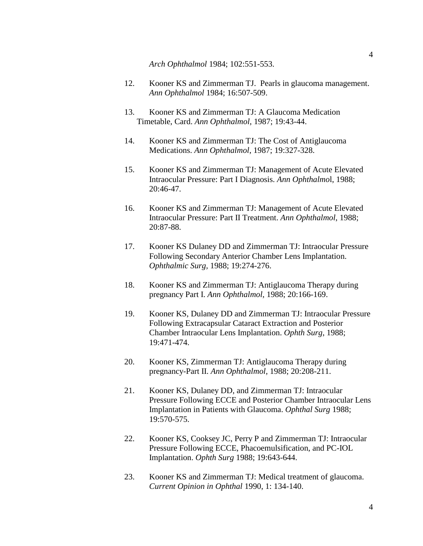*Arch Ophthalmol* 1984; 102:551-553.

- 12. Kooner KS and Zimmerman TJ. Pearls in glaucoma management. *Ann Ophthalmol* 1984; 16:507-509.
- 13. Kooner KS and Zimmerman TJ: A Glaucoma Medication Timetable, Card. *Ann Ophthalmol*, 1987; 19:43-44.
- 14. Kooner KS and Zimmerman TJ: The Cost of Antiglaucoma Medications. *Ann Ophthalmol*, 1987; 19:327-328.
- 15. Kooner KS and Zimmerman TJ: Management of Acute Elevated Intraocular Pressure: Part I Diagnosis. *Ann Ophthalmo*l, 1988; 20:46-47.
- 16. Kooner KS and Zimmerman TJ: Management of Acute Elevated Intraocular Pressure: Part II Treatment. *Ann Ophthalmol*, 1988; 20:87-88.
- 17. Kooner KS Dulaney DD and Zimmerman TJ: Intraocular Pressure Following Secondary Anterior Chamber Lens Implantation. *Ophthalmic Surg,* 1988; 19:274-276.
- 18. Kooner KS and Zimmerman TJ: Antiglaucoma Therapy during pregnancy Part I. *Ann Ophthalmol*, 1988; 20:166-169.
- 19. Kooner KS, Dulaney DD and Zimmerman TJ: Intraocular Pressure Following Extracapsular Cataract Extraction and Posterior Chamber Intraocular Lens Implantation. *Ophth Surg*, 1988; 19:471-474.
- 20. Kooner KS, Zimmerman TJ: Antiglaucoma Therapy during pregnancy-Part II. *Ann Ophthalmol*, 1988; 20:208-211.
- 21. Kooner KS, Dulaney DD, and Zimmerman TJ: Intraocular Pressure Following ECCE and Posterior Chamber Intraocular Lens Implantation in Patients with Glaucoma. *Ophthal Surg* 1988; 19:570-575.
- 22. Kooner KS, Cooksey JC, Perry P and Zimmerman TJ: Intraocular Pressure Following ECCE, Phacoemulsification, and PC-IOL Implantation. *Ophth Surg* 1988; 19:643-644.
- 23. Kooner KS and Zimmerman TJ: Medical treatment of glaucoma. *Current Opinion in Ophthal* 1990, 1: 134-140.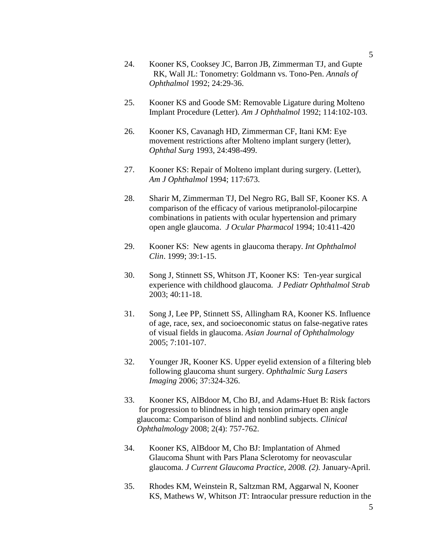- 24. Kooner KS, Cooksey JC, Barron JB, Zimmerman TJ, and Gupte RK, Wall JL: Tonometry: Goldmann vs. Tono-Pen. *Annals of Ophthalmol* 1992; 24:29-36.
- 25. Kooner KS and Goode SM: Removable Ligature during Molteno Implant Procedure (Letter). *Am J Ophthalmol* 1992; 114:102-103.
- 26. Kooner KS, Cavanagh HD, Zimmerman CF, Itani KM: Eye movement restrictions after Molteno implant surgery (letter), *Ophthal Surg* 1993, 24:498-499.
- 27. Kooner KS: Repair of Molteno implant during surgery. (Letter), *Am J Ophthalmol* 1994; 117:673.
- 28. Sharir M, Zimmerman TJ, Del Negro RG, Ball SF, Kooner KS. A comparison of the efficacy of various metipranolol-pilocarpine combinations in patients with ocular hypertension and primary open angle glaucoma. *J Ocular Pharmacol* 1994; 10:411-420
- 29. Kooner KS: New agents in glaucoma therapy. *Int Ophthalmol Clin*. 1999; 39:1-15.
- 30. Song J, Stinnett SS, Whitson JT, Kooner KS: Ten-year surgical experience with childhood glaucoma*. J Pediatr Ophthalmol Strab* 2003; 40:11-18.
- 31. Song J, Lee PP, Stinnett SS, Allingham RA, Kooner KS. Influence of age, race, sex, and socioeconomic status on false-negative rates of visual fields in glaucoma. *Asian Journal of Ophthalmology* 2005; 7:101-107.
- 32. Younger JR, Kooner KS. Upper eyelid extension of a filtering bleb following glaucoma shunt surgery. *Ophthalmic Surg Lasers Imaging* 2006; 37:324-326.
- 33. Kooner KS, AlBdoor M, Cho BJ, and Adams-Huet B: Risk factors for progression to blindness in high tension primary open angle glaucoma: Comparison of blind and nonblind subjects. *Clinical Ophthalmology* 2008; 2(4): 757-762.
- 34. Kooner KS, AlBdoor M, Cho BJ: Implantation of Ahmed Glaucoma Shunt with Pars Plana Sclerotomy for neovascular glaucoma. *J Current Glaucoma Practice, 2008. (2).* January-April.
- 35. Rhodes KM, Weinstein R, Saltzman RM, Aggarwal N, Kooner KS, Mathews W, Whitson JT: Intraocular pressure reduction in the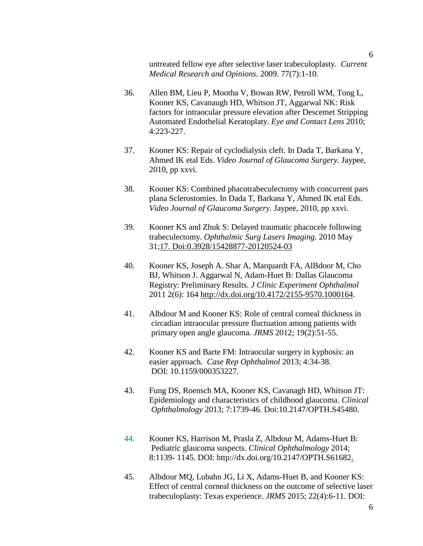untreated fellow eye after selective laser trabeculoplasty. *Current Medical Research and Opinions.* 2009. 77(7):1-10.

- 36. Allen BM, Lieu P, Mootha V, Bowan RW, Petroll WM, Tong L, Kooner KS, Cavanaugh HD, Whitson JT, Aggarwal NK: Risk factors for intraocular pressure elevation after Descemet Stripping Automated Endothelial Keratoplaty. *Eye and Contact Lens* 2010; 4:223-227.
- 37. Kooner KS: Repair of cyclodialysis cleft. In Dada T, Barkana Y, Ahmed IK etal Eds. *Video Journal of Glaucoma Surgery.* Jaypee, 2010, pp xxvi.
- 38. Kooner KS: Combined phacotrabeculectomy with concurrent pars plana Sclerostomies. In Dada T, Barkana Y, Ahmed IK etal Eds. *Video Journal of Glaucoma Surgery.* Jaypee, 2010, pp xxvi.
- 39. Kooner KS and Zhuk S: Delayed traumatic phacocele following trabeculectomy. *Ophthalmic Surg Lasers Imaging.* 2010 May 31;17. Doi:0.3928/15428877-20120524-03
- 40. Kooner KS, Joseph A. Shar A, Marquardt FA, AlBdoor M, Cho BJ, Whitson J. Aggarwal N, Adam-Huet B: Dallas Glaucoma Registry: Preliminary Results. *J Clinic Experiment Ophthalmol*  2011 2(6): 164 [http://dx.doi.org/10.4172/2155-9570.1000164.](http://dx.doi.org/10.4172/2155-9570.1000164)
- 41. Albdour M and Kooner KS: Role of central corneal thickness in circadian intraocular pressure fluctuation among patients with primary open angle glaucoma. *JRMS* 2012; 19(2):51-55.
- 42. Kooner KS and Barte FM: Intraocular surgery in kyphosis: an easier approach*. Case Rep Ophthalmol* 2013; 4:34-38. DOI: 10.1159/000353227.
- 43. Fung DS, Roensch MA, Kooner KS, Cavanagh HD, Whitson JT: Epidemiology and characteristics of childhood glaucoma. *Clinical Ophthalmology* 2013; 7:1739-46. Doi:10.2147/OPTH.S45480.
- 44. Kooner KS, Harrison M, Prasla Z, Albdour M, Adams-Huet B: Pediatric glaucoma suspects. *Clinical Ophthalmology* 2014; 8:1139- 1145. DOI: [http://dx.doi.org/10.2147/OPTH.S61682.](http://dx.doi.org/10.2147/OPTH.S61682)
- 45. Albdour MQ, Lubahn JG, Li X, Adams-Huet B, and Kooner KS: Effect of central corneal thickness on the outcome of selective laser trabeculoplasty: Texas experience. *JRMS* 2015; 22(4):6-11. DOI: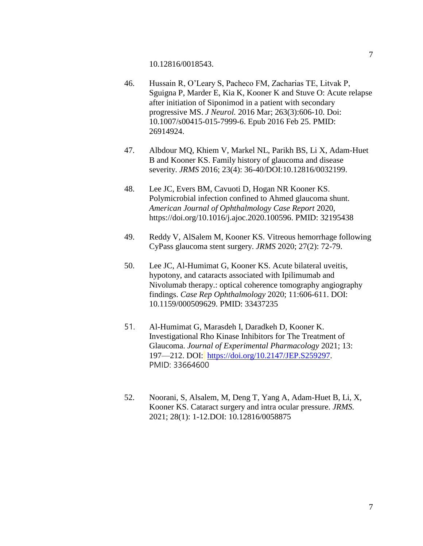- 46. Hussain R, O'Leary S, Pacheco FM, Zacharias TE, Litvak P, Sguigna P, Marder E, Kia K, Kooner K and Stuve O: Acute relapse after initiation of Siponimod in a patient with secondary progressive MS. *J Neurol.* 2016 Mar; 263(3):606-10. Doi: 10.1007/s00415-015-7999-6. Epub 2016 Feb 25. PMID: 26914924.
- 47. Albdour MQ, Khiem V, Markel NL, Parikh BS, Li X, Adam-Huet B and Kooner KS. Family history of glaucoma and disease severity. *JRMS* 2016; 23(4): 36-40/DOI:10.12816/0032199.
- 48. Lee JC, Evers BM, Cavuoti D, Hogan NR Kooner KS. Polymicrobial infection confined to Ahmed glaucoma shunt. *American Journal of Ophthalmology Case Report* 2020, [https://doi.org/10.1016/j.ajoc.2020.100596.](https://doi.org/10.1016/j.ajoc.2020.100596) PMID: 32195438
- 49. Reddy V, AlSalem M, Kooner KS. Vitreous hemorrhage following CyPass glaucoma stent surgery. *JRMS* 2020; 27(2): 72-79.
- 50. Lee JC, Al-Humimat G, Kooner KS. Acute bilateral uveitis, hypotony, and cataracts associated with Ipilimumab and Nivolumab therapy.: optical coherence tomography angiography findings. *Case Rep Ophthalmology* 2020; 11:606-611. DOI: 10.1159/000509629. PMID: 33437235
- 51. Al-Humimat G, Marasdeh I, Daradkeh D, Kooner K. Investigational Rho Kinase Inhibitors for The Treatment of Glaucoma. *Journal of Experimental Pharmacology* 2021; 13: 197—212. DOI: [https://doi.org/10.2147/JEP.S259297.](https://doi.org/10.2147/JEP.S259297) PMID: 33664600
- 52. Noorani, S, Alsalem, M, Deng T, Yang A, Adam-Huet B, Li, X, Kooner KS. Cataract surgery and intra ocular pressure. *JRMS.* 2021; 28(1): 1-12.DOI: 10.12816/0058875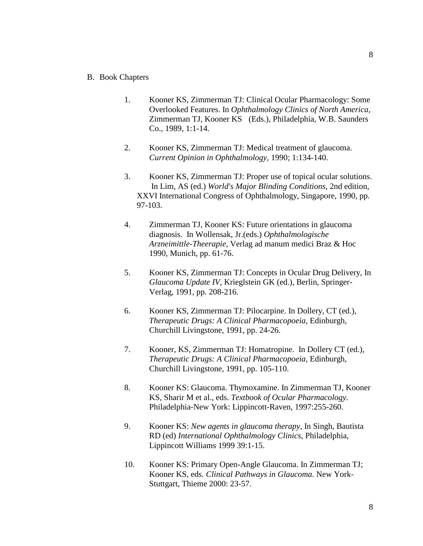- B. Book Chapters
	- 1. Kooner KS, Zimmerman TJ: Clinical Ocular Pharmacology: Some Overlooked Features. In *Ophthalmology Clinics of North America,*  Zimmerman TJ, Kooner KS (Eds.), Philadelphia, W.B. Saunders Co., 1989, 1:1-14.
	- 2. Kooner KS, Zimmerman TJ: Medical treatment of glaucoma. *Current Opinion in Ophthalmology*, 1990; 1:134-140.
	- 3. Kooner KS, Zimmerman TJ: Proper use of topical ocular solutions. In Lim, AS (ed.) *World's Major Blinding Conditions*, 2nd edition, XXVI International Congress of Ophthalmology, Singapore, 1990, pp. 97-103.
	- 4. Zimmerman TJ, Kooner KS: Future orientations in glaucoma diagnosis. In Wollensak, Jr.(eds.) *Ophthalmologische Arzneimittle-Theerapie*, Verlag ad manum medici Braz & Hoc 1990, Munich, pp. 61-76.
	- 5. Kooner KS, Zimmerman TJ: Concepts in Ocular Drug Delivery, In *Glaucoma Update IV*, Krieglstein GK (ed.), Berlin, Springer-Verlag, 1991, pp. 208-216.
	- 6. Kooner KS, Zimmerman TJ: Pilocarpine. In Dollery, CT (ed.), *Therapeutic Drugs: A Clinical Pharmacopoeia*, Edinburgh, Churchill Livingstone, 1991, pp. 24-26.
	- 7. Kooner, KS, Zimmerman TJ: Homatropine. In Dollery CT (ed.), *Therapeutic Drugs: A Clinical Pharmacopoeia*, Edinburgh, Churchill Livingstone, 1991, pp. 105-110.
	- 8. Kooner KS: Glaucoma. Thymoxamine. In Zimmerman TJ, Kooner KS, Sharir M et al., eds. *Textbook of Ocular Pharmacology.*  Philadelphia-New York: Lippincott-Raven, 1997:255-260.
	- 9. Kooner KS: *New agents in glaucoma therapy*, In Singh, Bautista RD (ed) *International Ophthalmology Clinics,* Philadelphia, Lippincott Williams 1999 39:1-15.
	- 10. Kooner KS: Primary Open-Angle Glaucoma. In Zimmerman TJ; Kooner KS, eds. *Clinical Pathways in Glaucoma.* New York-Stuttgart, Thieme 2000: 23-57.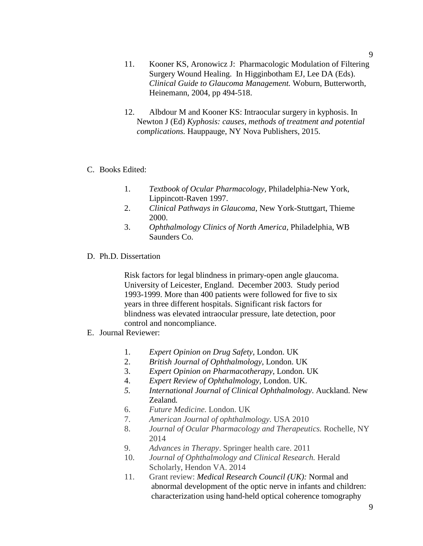- 11. Kooner KS, Aronowicz J: Pharmacologic Modulation of Filtering Surgery Wound Healing. In Higginbotham EJ, Lee DA (Eds). *Clinical Guide to Glaucoma Management.* Woburn, Butterworth, Heinemann, 2004, pp 494-518.
- 12. Albdour M and Kooner KS: Intraocular surgery in kyphosis. In Newton J (Ed) *Kyphosis: causes, methods of treatment and potential complications.* Hauppauge, NY Nova Publishers, 2015.

#### C. Books Edited:

- 1. *Textbook of Ocular Pharmacology,* Philadelphia-New York, Lippincott-Raven 1997.
- 2. *Clinical Pathways in Glaucoma*, New York-Stuttgart, Thieme 2000.
- 3. *Ophthalmology Clinics of North America,* Philadelphia, WB Saunders Co.
- D. Ph.D. Dissertation

Risk factors for legal blindness in primary-open angle glaucoma. University of Leicester, England. December 2003. Study period 1993-1999. More than 400 patients were followed for five to six years in three different hospitals. Significant risk factors for blindness was elevated intraocular pressure, late detection, poor control and noncompliance.

- E. Journal Reviewer:
	- 1. *Expert Opinion on Drug Safety,* London. UK
	- 2. *British Journal of Ophthalmology,* London. UK
	- 3. *Expert Opinion on Pharmacotherapy*, London. UK
	- 4. *Expert Review of Ophthalmology,* London. UK.
	- *5. International Journal of Clinical Ophthalmology*. Auckland. New Zealand*.*
	- 6. *Future Medicine.* London. UK
	- 7. *American Journal of ophthalmology.* USA 2010
	- 8. *Journal of Ocular Pharmacology and Therapeutics.* Rochelle, NY 2014
	- 9. *Advances in Therapy*. Springer health care. 2011
	- 10. *Journal of Ophthalmology and Clinical Research.* Herald Scholarly, Hendon VA. 2014
	- 11. Grant review: *Medical Research Council (UK):* Normal and abnormal development of the optic nerve in infants and children: characterization using hand-held optical coherence tomography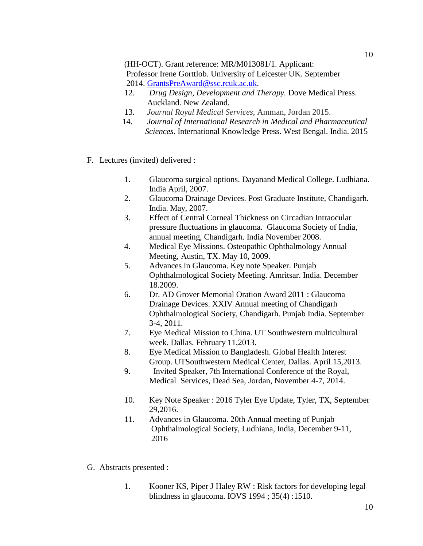(HH-OCT). Grant reference: MR/M013081/1. Applicant: Professor Irene Gorttlob. University of Leicester UK. September 2014. [GrantsPreAward@ssc.rcuk.ac.uk.](mailto:GrantsPreAward@ssc.rcuk.ac.uk)

- 12. *Drug Design, Development and Therapy.* Dove Medical Press. Auckland. New Zealand.
- 13. *Journal Royal Medical Services*, Amman, Jordan 2015.
- 14. *Journal of International Research in Medical and Pharmaceutical Sciences*. [International Knowledge Press.](http://www.google.com/url?sa=t&rct=j&q=&esrc=s&source=web&cd=1&cad=rja&uact=8&ved=0CB4QFjAA&url=http%3A%2F%2Fwww.ikpress.org%2Fpage.php%3Fid%3Deditorial-guideline&ei=DttkVZPpEYvdsAXvtICoCg&usg=AFQjCNGXuhHSRbuWBe565XNPQSqAObLD3w) West Bengal. India. 2015
- F. Lectures (invited) delivered :
	- 1. Glaucoma surgical options. Dayanand Medical College. Ludhiana. India April, 2007.
	- 2. Glaucoma Drainage Devices. Post Graduate Institute, Chandigarh. India. May, 2007.
	- 3. Effect of Central Corneal Thickness on Circadian Intraocular pressure fluctuations in glaucoma. Glaucoma Society of India, annual meeting, Chandigarh. India November 2008.
	- 4. Medical Eye Missions. Osteopathic Ophthalmology Annual Meeting, Austin, TX. May 10, 2009.
	- 5. Advances in Glaucoma. Key note Speaker. Punjab Ophthalmological Society Meeting. Amritsar. India. December 18.2009.
	- 6. Dr. AD Grover Memorial Oration Award 2011 : Glaucoma Drainage Devices. XXIV Annual meeting of Chandigarh Ophthalmological Society, Chandigarh. Punjab India. September 3-4, 2011.
	- 7. Eye Medical Mission to China. UT Southwestern multicultural week. Dallas. February 11,2013.
	- 8. Eye Medical Mission to Bangladesh. Global Health Interest Group. UTSouthwestern Medical Center, Dallas. April 15,2013.
	- 9. Invited Speaker, 7th International Conference of the Royal, Medical Services, Dead Sea, Jordan, November 4-7, 2014.
	- 10. Key Note Speaker : 2016 Tyler Eye Update, Tyler, TX, September 29,2016.
	- 11. Advances in Glaucoma. 20th Annual meeting of Punjab Ophthalmological Society, Ludhiana, India, December 9-11, 2016
- G. Abstracts presented :
	- 1. Kooner KS, Piper J Haley RW : Risk factors for developing legal blindness in glaucoma. IOVS 1994 ; 35(4) :1510.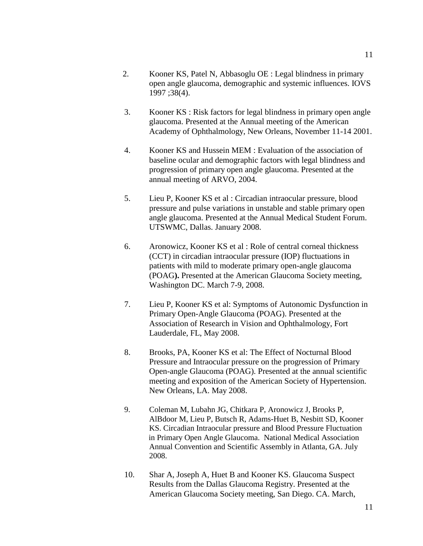- 2. Kooner KS, Patel N, Abbasoglu OE : Legal blindness in primary open angle glaucoma, demographic and systemic influences. IOVS 1997 ;38(4).
- 3. Kooner KS : Risk factors for legal blindness in primary open angle glaucoma. Presented at the Annual meeting of the American Academy of Ophthalmology, New Orleans, November 11-14 2001.
- 4. Kooner KS and Hussein MEM : Evaluation of the association of baseline ocular and demographic factors with legal blindness and progression of primary open angle glaucoma. Presented at the annual meeting of ARVO, 2004.
- 5. Lieu P, Kooner KS et al : Circadian intraocular pressure, blood pressure and pulse variations in unstable and stable primary open angle glaucoma. Presented at the Annual Medical Student Forum. UTSWMC, Dallas. January 2008.
- 6. Aronowicz, Kooner KS et al : Role of central corneal thickness (CCT) in circadian intraocular pressure (IOP) fluctuations in patients with mild to moderate primary open-angle glaucoma (POAG**).** Presented at the American Glaucoma Society meeting, Washington DC. March 7-9, 2008.
- 7. Lieu P, Kooner KS et al: Symptoms of Autonomic Dysfunction in Primary Open-Angle Glaucoma (POAG). Presented at the Association of Research in Vision and Ophthalmology, Fort Lauderdale, FL, May 2008.
- 8. Brooks, PA, Kooner KS et al: The Effect of Nocturnal Blood Pressure and Intraocular pressure on the progression of Primary Open-angle Glaucoma (POAG). Presented at the annual scientific meeting and exposition of the American Society of Hypertension. New Orleans, LA. May 2008.
- 9. Coleman M, Lubahn JG, Chitkara P, Aronowicz J, Brooks P, AlBdoor M, Lieu P, Butsch R, Adams-Huet B, Nesbitt SD, Kooner KS. Circadian Intraocular pressure and Blood Pressure Fluctuation in Primary Open Angle Glaucoma. National Medical Association Annual Convention and Scientific Assembly in Atlanta, GA. July 2008.
- 10. Shar A, Joseph A, Huet B and Kooner KS. Glaucoma Suspect Results from the Dallas Glaucoma Registry. Presented at the American Glaucoma Society meeting, San Diego. CA. March,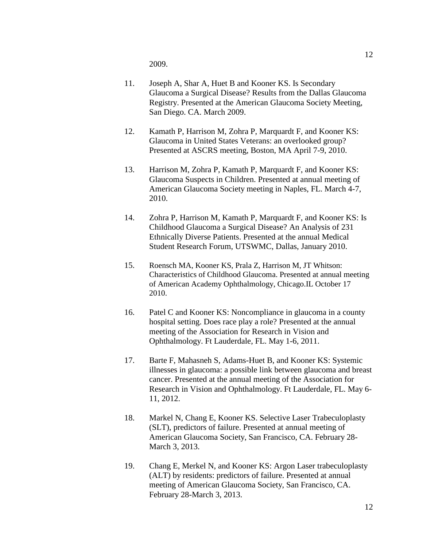2009.

- 11. Joseph A, Shar A, Huet B and Kooner KS. Is Secondary Glaucoma a Surgical Disease? Results from the Dallas Glaucoma Registry. Presented at the American Glaucoma Society Meeting, San Diego. CA. March 2009.
- 12. Kamath P, Harrison M, Zohra P, Marquardt F, and Kooner KS: Glaucoma in United States Veterans: an overlooked group? Presented at ASCRS meeting, Boston, MA April 7-9, 2010.
- 13. Harrison M, Zohra P, Kamath P, Marquardt F, and Kooner KS: Glaucoma Suspects in Children. Presented at annual meeting of American Glaucoma Society meeting in Naples, FL. March 4-7, 2010.
- 14. Zohra P, Harrison M, Kamath P, Marquardt F, and Kooner KS: Is Childhood Glaucoma a Surgical Disease? An Analysis of 231 Ethnically Diverse Patients. Presented at the annual Medical Student Research Forum, UTSWMC, Dallas, January 2010.
- 15. Roensch MA, Kooner KS, Prala Z, Harrison M, JT Whitson: Characteristics of Childhood Glaucoma. Presented at annual meeting of American Academy Ophthalmology, Chicago.IL October 17 2010.
- 16. Patel C and Kooner KS: Noncompliance in glaucoma in a county hospital setting. Does race play a role? Presented at the annual meeting of the Association for Research in Vision and Ophthalmology. Ft Lauderdale, FL. May 1-6, 2011.
- 17. Barte F, Mahasneh S, Adams-Huet B, and Kooner KS: Systemic illnesses in glaucoma: a possible link between glaucoma and breast cancer. Presented at the annual meeting of the Association for Research in Vision and Ophthalmology. Ft Lauderdale, FL. May 6- 11, 2012.
- 18. Markel N, Chang E, Kooner KS. Selective Laser Trabeculoplasty (SLT), predictors of failure. Presented at annual meeting of American Glaucoma Society, San Francisco, CA. February 28- March 3, 2013.
- 19. Chang E, Merkel N, and Kooner KS: Argon Laser trabeculoplasty (ALT) by residents: predictors of failure. Presented at annual meeting of American Glaucoma Society, San Francisco, CA. February 28-March 3, 2013.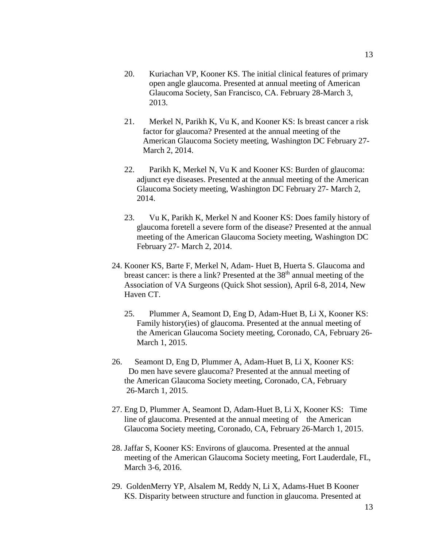- 20. Kuriachan VP, Kooner KS. The initial clinical features of primary open angle glaucoma. Presented at annual meeting of American Glaucoma Society, San Francisco, CA. February 28-March 3, 2013.
- 21. Merkel N, Parikh K, Vu K, and Kooner KS: Is breast cancer a risk factor for glaucoma? Presented at the annual meeting of the American Glaucoma Society meeting, Washington DC February 27- March 2, 2014.
- 22. Parikh K, Merkel N, Vu K and Kooner KS: Burden of glaucoma: adjunct eye diseases. Presented at the annual meeting of the American Glaucoma Society meeting, Washington DC February 27- March 2, 2014.
- 23. Vu K, Parikh K, Merkel N and Kooner KS: Does family history of glaucoma foretell a severe form of the disease? Presented at the annual meeting of the American Glaucoma Society meeting, Washington DC February 27- March 2, 2014.
- 24. Kooner KS, Barte F, Merkel N, Adam- Huet B, Huerta S. Glaucoma and breast cancer: is there a link? Presented at the  $38<sup>th</sup>$  annual meeting of the Association of VA Surgeons (Quick Shot session), April 6-8, 2014, New Haven CT.
	- 25. Plummer A, Seamont D, Eng D, Adam-Huet B, Li X, Kooner KS: Family history(ies) of glaucoma. Presented at the annual meeting of the American Glaucoma Society meeting, Coronado, CA, February 26- March 1, 2015.
- 26. Seamont D, Eng D, Plummer A, Adam-Huet B, Li X, Kooner KS: Do men have severe glaucoma? Presented at the annual meeting of the American Glaucoma Society meeting, Coronado, CA, February 26-March 1, 2015.
- 27. Eng D, Plummer A, Seamont D, Adam-Huet B, Li X, Kooner KS: Time line of glaucoma. Presented at the annual meeting of the American Glaucoma Society meeting, Coronado, CA, February 26-March 1, 2015.
- 28. Jaffar S, Kooner KS: Environs of glaucoma. Presented at the annual meeting of the American Glaucoma Society meeting, Fort Lauderdale, FL, March 3-6, 2016.
- 29. GoldenMerry YP, Alsalem M, Reddy N, Li X, Adams-Huet B Kooner KS. Disparity between structure and function in glaucoma. Presented at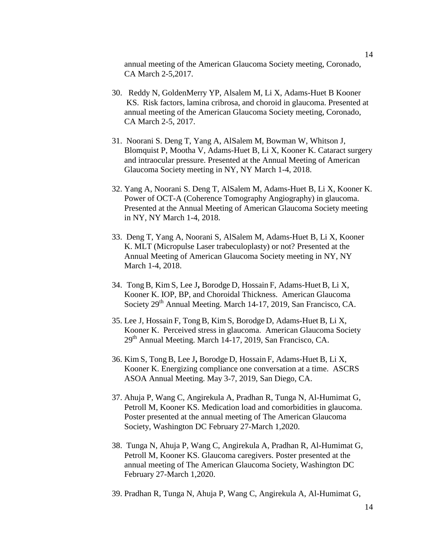annual meeting of the American Glaucoma Society meeting, Coronado, CA March 2-5,2017.

- 30. Reddy N, GoldenMerry YP, Alsalem M, Li X, Adams-Huet B Kooner KS. Risk factors, lamina cribrosa, and choroid in glaucoma. Presented at annual meeting of the American Glaucoma Society meeting, Coronado, CA March 2-5, 2017.
- 31. Noorani S. Deng T, Yang A, AlSalem M, Bowman W, Whitson J, Blomquist P, Mootha V, Adams-Huet B, Li X, Kooner K. Cataract surgery and intraocular pressure. Presented at the Annual Meeting of American Glaucoma Society meeting in NY, NY March 1-4, 2018.
- 32. Yang A, Noorani S. Deng T, AlSalem M, Adams-Huet B, Li X, Kooner K. Power of OCT-A (Coherence Tomography Angiography) in glaucoma. Presented at the Annual Meeting of American Glaucoma Society meeting in NY, NY March 1-4, 2018.
- 33. Deng T, Yang A, Noorani S, AlSalem M, Adams-Huet B, Li X, Kooner K. MLT (Micropulse Laser trabeculoplasty) or not? Presented at the Annual Meeting of American Glaucoma Society meeting in NY, NY March 1-4, 2018.
- 34. TongB, Kim S, Lee J**,** Borodge D, Hossain F, Adams-Huet B, Li X, Kooner K. IOP, BP, and Choroidal Thickness. American Glaucoma Society 29<sup>th</sup> Annual Meeting. March 14-17, 2019, San Francisco, CA.
- 35. Lee J, Hossain F, TongB, Kim S, Borodge D, Adams-Huet B, Li X, Kooner K. Perceived stress in glaucoma. American Glaucoma Society 29<sup>th</sup> Annual Meeting. March 14-17, 2019, San Francisco, CA.
- 36. Kim S, TongB, Lee J**,** Borodge D, Hossain F, Adams-Huet B, Li X, Kooner K. Energizing compliance one conversation at a time. ASCRS ASOA Annual Meeting. May 3-7, 2019, San Diego, CA.
- 37. Ahuja P, Wang C, Angirekula A, Pradhan R, Tunga N, Al-Humimat G, Petroll M, Kooner KS. Medication load and comorbidities in glaucoma. Poster presented at the annual meeting of The American Glaucoma Society, Washington DC February 27-March 1,2020.
- 38. Tunga N, Ahuja P, Wang C, Angirekula A, Pradhan R, Al-Humimat G, Petroll M, Kooner KS. Glaucoma caregivers. Poster presented at the annual meeting of The American Glaucoma Society, Washington DC February 27-March 1,2020.
- 39. Pradhan R, Tunga N, Ahuja P, Wang C, Angirekula A, Al-Humimat G,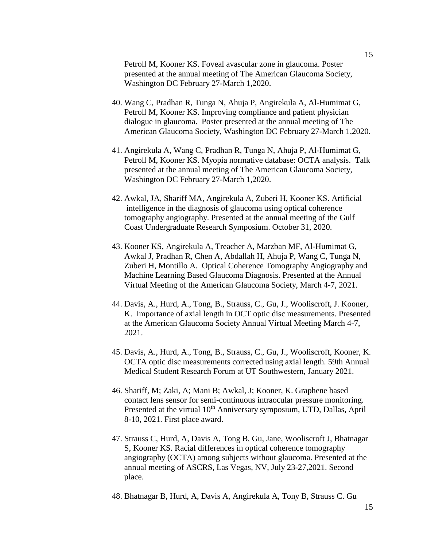Petroll M, Kooner KS. Foveal avascular zone in glaucoma. Poster presented at the annual meeting of The American Glaucoma Society, Washington DC February 27-March 1,2020.

- 40. Wang C, Pradhan R, Tunga N, Ahuja P, Angirekula A, Al-Humimat G, Petroll M, Kooner KS. Improving compliance and patient physician dialogue in glaucoma. Poster presented at the annual meeting of The American Glaucoma Society, Washington DC February 27-March 1,2020.
- 41. Angirekula A, Wang C, Pradhan R, Tunga N, Ahuja P, Al-Humimat G, Petroll M, Kooner KS. Myopia normative database: OCTA analysis. Talk presented at the annual meeting of The American Glaucoma Society, Washington DC February 27-March 1,2020.
- 42. Awkal, JA, Shariff MA, Angirekula A, Zuberi H, Kooner KS. Artificial intelligence in the diagnosis of glaucoma using optical coherence tomography angiography. Presented at the annual meeting of the Gulf Coast Undergraduate Research Symposium. October 31, 2020.
- 43. Kooner KS, Angirekula A, Treacher A, Marzban MF, Al-Humimat G, Awkal J, Pradhan R, Chen A, Abdallah H, Ahuja P, Wang C, Tunga N, Zuberi H, Montillo A. Optical Coherence Tomography Angiography and Machine Learning Based Glaucoma Diagnosis. Presented at the Annual Virtual Meeting of the American Glaucoma Society, March 4-7, 2021.
- 44. Davis, A., Hurd, A., Tong, B., Strauss, C., Gu, J., Wooliscroft, J. Kooner, K. Importance of axial length in OCT optic disc measurements. Presented at the American Glaucoma Society Annual Virtual Meeting March 4-7, 2021.
- 45. Davis, A., Hurd, A., Tong, B., Strauss, C., Gu, J., Wooliscroft, Kooner, K. OCTA optic disc measurements corrected using axial length. 59th Annual Medical Student Research Forum at UT Southwestern, January 2021.
- 46. Shariff, M; Zaki, A; Mani B; Awkal, J; Kooner, K. Graphene based contact lens sensor for semi-continuous intraocular pressure monitoring. Presented at the virtual 10<sup>th</sup> Anniversary symposium, UTD, Dallas, April 8-10, 2021. First place award.
- 47. Strauss C, Hurd, A, Davis A, Tong B, Gu, Jane, Wooliscroft J, Bhatnagar S, Kooner KS. Racial differences in optical coherence tomography angiography (OCTA) among subjects without glaucoma. Presented at the annual meeting of ASCRS, Las Vegas, NV, July 23-27,2021. Second place.
- 48. Bhatnagar B, Hurd, A, Davis A, Angirekula A, Tony B, Strauss C. Gu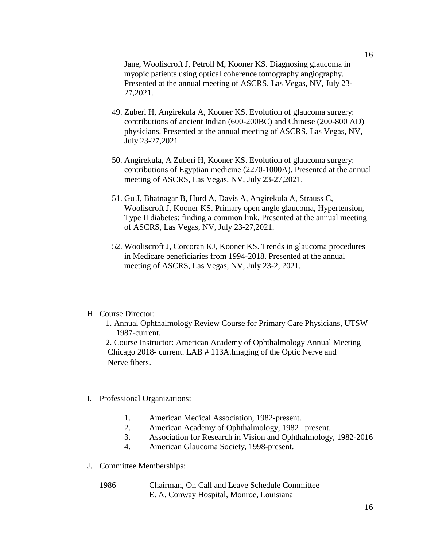Jane, Wooliscroft J, Petroll M, Kooner KS. Diagnosing glaucoma in myopic patients using optical coherence tomography angiography. Presented at the annual meeting of ASCRS, Las Vegas, NV, July 23- 27,2021.

- 49. Zuberi H, Angirekula A, Kooner KS. Evolution of glaucoma surgery: contributions of ancient Indian (600-200BC) and Chinese (200-800 AD) physicians. Presented at the annual meeting of ASCRS, Las Vegas, NV, July 23-27,2021.
- 50. Angirekula, A Zuberi H, Kooner KS. Evolution of glaucoma surgery: contributions of Egyptian medicine (2270-1000A). Presented at the annual meeting of ASCRS, Las Vegas, NV, July 23-27,2021.
- 51. Gu J, Bhatnagar B, Hurd A, Davis A, Angirekula A, Strauss C, Wooliscroft J, Kooner KS. Primary open angle glaucoma, Hypertension, Type II diabetes: finding a common link. Presented at the annual meeting of ASCRS, Las Vegas, NV, July 23-27,2021.
- 52. Wooliscroft J, Corcoran KJ, Kooner KS. Trends in glaucoma procedures in Medicare beneficiaries from 1994-2018. Presented at the annual meeting of ASCRS, Las Vegas, NV, July 23-2, 2021.

#### H. Course Director:

 1. Annual Ophthalmology Review Course for Primary Care Physicians, UTSW 1987-current.

 2. Course Instructor: American Academy of Ophthalmology Annual Meeting Chicago 2018- current. LAB # 113A.Imaging of the Optic Nerve and Nerve fibers.

#### I. Professional Organizations:

- 1. American Medical Association, 1982-present.
- 2. American Academy of Ophthalmology, 1982 –present.
- 3. Association for Research in Vision and Ophthalmology, 1982-2016
- 4. American Glaucoma Society, 1998-present.
- J. Committee Memberships:
	- 1986 Chairman, On Call and Leave Schedule Committee E. A. Conway Hospital, Monroe, Louisiana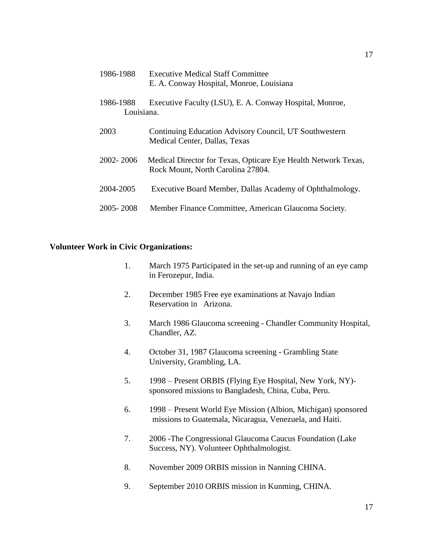| 1986-1988               | <b>Executive Medical Staff Committee</b><br>E. A. Conway Hospital, Monroe, Louisiana                |
|-------------------------|-----------------------------------------------------------------------------------------------------|
| 1986-1988<br>Louisiana. | Executive Faculty (LSU), E. A. Conway Hospital, Monroe,                                             |
| 2003                    | Continuing Education Advisory Council, UT Southwestern<br>Medical Center, Dallas, Texas             |
| 2002-2006               | Medical Director for Texas, Opticare Eye Health Network Texas,<br>Rock Mount, North Carolina 27804. |
| 2004-2005               | Executive Board Member, Dallas Academy of Ophthalmology.                                            |
| 2005 - 2008             | Member Finance Committee, American Glaucoma Society.                                                |

### **Volunteer Work in Civic Organizations:**

- 1. March 1975 Participated in the set-up and running of an eye camp in Ferozepur, India.
- 2. December 1985 Free eye examinations at Navajo Indian Reservation in Arizona.
- 3. March 1986 Glaucoma screening Chandler Community Hospital, Chandler, AZ.
- 4. October 31, 1987 Glaucoma screening Grambling State University, Grambling, LA.
- 5. 1998 Present ORBIS (Flying Eye Hospital, New York, NY) sponsored missions to Bangladesh, China, Cuba, Peru.
- 6. 1998 Present World Eye Mission (Albion, Michigan) sponsored missions to Guatemala, Nicaragua, Venezuela, and Haiti.
- 7. 2006 -The Congressional Glaucoma Caucus Foundation (Lake Success, NY). Volunteer Ophthalmologist.
- 8. November 2009 ORBIS mission in Nanning CHINA.
- 9. September 2010 ORBIS mission in Kunming, CHINA.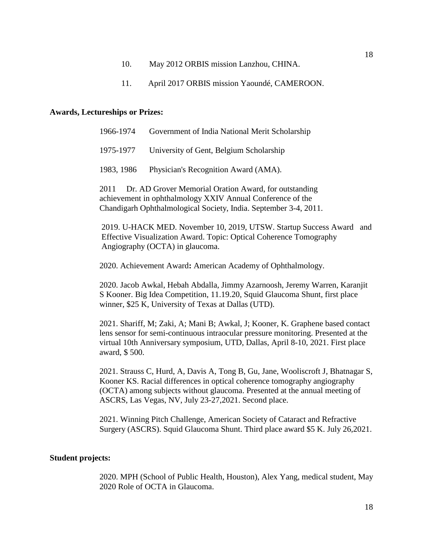- 10. May 2012 ORBIS mission Lanzhou, CHINA.
- 11. April 2017 ORBIS mission Yaoundé, CAMEROON.

#### **Awards, Lectureships or Prizes:**

| 1966-1974 | Government of India National Merit Scholarship  |
|-----------|-------------------------------------------------|
| 1975-1977 | University of Gent, Belgium Scholarship         |
|           | 1983, 1986 Physician's Recognition Award (AMA). |

 2011 Dr. AD Grover Memorial Oration Award, for outstanding achievement in ophthalmology XXIV Annual Conference of the Chandigarh Ophthalmological Society, India. September 3-4, 2011.

2019. U-HACK MED. November 10, 2019, UTSW. Startup Success Award and Effective Visualization Award. Topic: Optical Coherence Tomography Angiography (OCTA) in glaucoma.

2020. Achievement Award**:** American Academy of Ophthalmology.

2020. Jacob Awkal, Hebah Abdalla, Jimmy Azarnoosh, Jeremy Warren, Karanjit S Kooner. Big Idea Competition, 11.19.20, Squid Glaucoma Shunt, first place winner, \$25 K, University of Texas at Dallas (UTD).

2021. Shariff, M; Zaki, A; Mani B; Awkal, J; Kooner, K. Graphene based contact lens sensor for semi-continuous intraocular pressure monitoring. Presented at the virtual 10th Anniversary symposium, UTD, Dallas, April 8-10, 2021. First place award, \$ 500.

2021. Strauss C, Hurd, A, Davis A, Tong B, Gu, Jane, Wooliscroft J, Bhatnagar S, Kooner KS. Racial differences in optical coherence tomography angiography (OCTA) among subjects without glaucoma. Presented at the annual meeting of ASCRS, Las Vegas, NV, July 23-27,2021. Second place.

2021. Winning Pitch Challenge, American Society of Cataract and Refractive Surgery (ASCRS). Squid Glaucoma Shunt. Third place award \$5 K. July 26,2021.

#### **Student projects:**

2020. MPH (School of Public Health, Houston), Alex Yang, medical student, May 2020 Role of OCTA in Glaucoma.